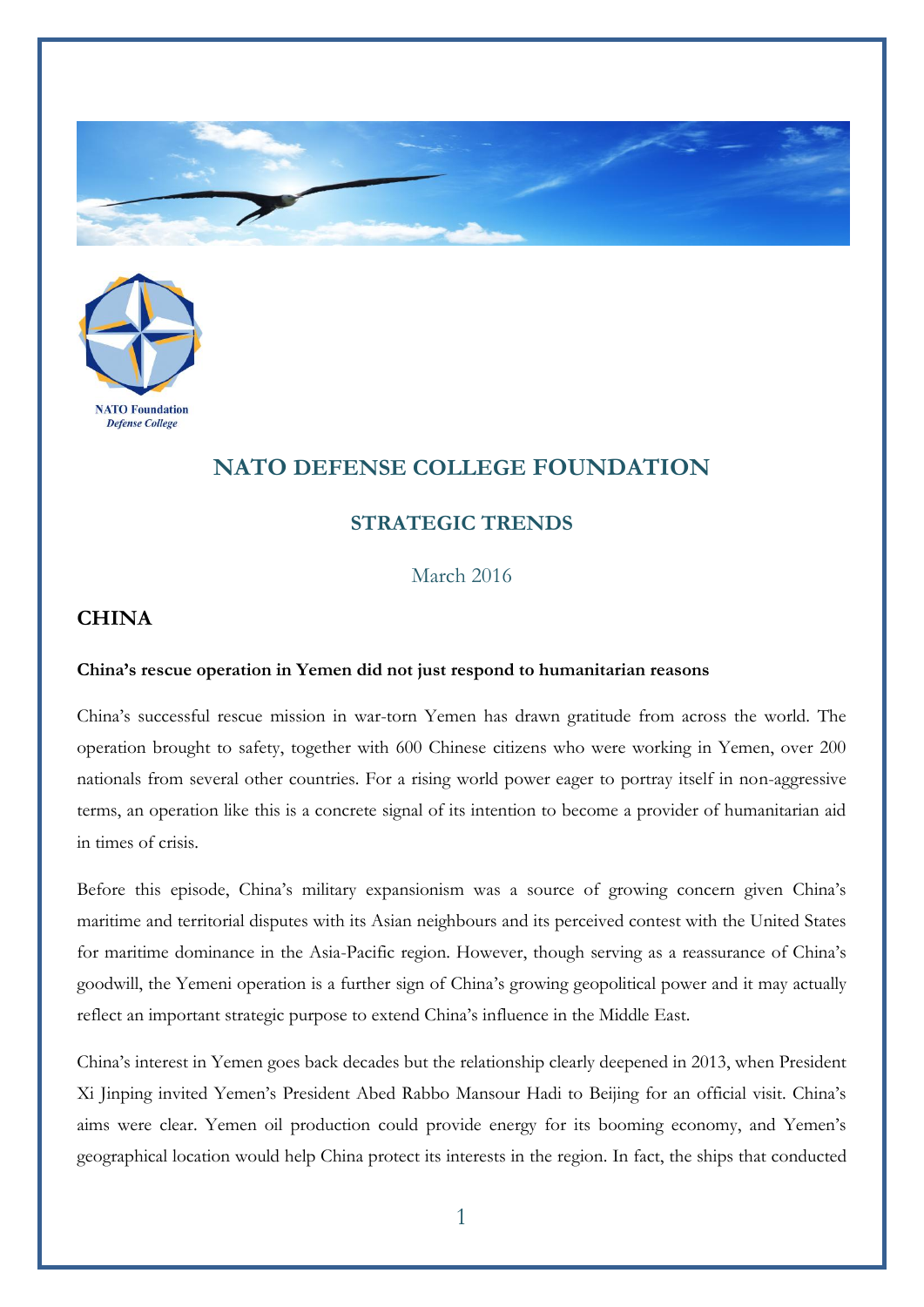



## **NATO DEFENSE COLLEGE FOUNDATION**

## **STRATEGIC TRENDS**

March 2016

## **CHINA**

## **China's rescue operation in Yemen did not just respond to humanitarian reasons**

China's successful rescue mission in war-torn Yemen has drawn gratitude from across the world. The operation brought to safety, together with 600 Chinese citizens who were working in Yemen, over 200 nationals from several other countries. For a rising world power eager to portray itself in non-aggressive terms, an operation like this is a concrete signal of its intention to become a provider of humanitarian aid in times of crisis.

Before this episode, China's military expansionism was a source of growing concern given China's maritime and territorial disputes with its Asian neighbours and its perceived contest with the United States for maritime dominance in the Asia-Pacific region. However, though serving as a reassurance of China's goodwill, the Yemeni operation is a further sign of China's growing geopolitical power and it may actually reflect an important strategic purpose to extend China's influence in the Middle East.

China's interest in Yemen goes back decades but the relationship clearly deepened in 2013, when President Xi Jinping invited Yemen's President Abed Rabbo Mansour Hadi to Beijing for an official visit. China's aims were clear. Yemen oil production could provide energy for its booming economy, and Yemen's geographical location would help China protect its interests in the region. In fact, the ships that conducted